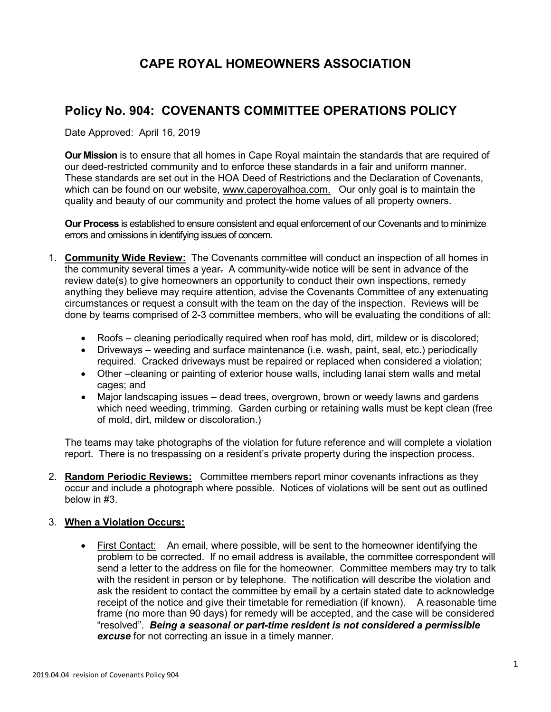## **CAPE ROYAL HOMEOWNERS ASSOCIATION**

## **Policy No. 904: COVENANTS COMMITTEE OPERATIONS POLICY**

Date Approved: April 16, 2019

**Our Mission** is to ensure that all homes in Cape Royal maintain the standards that are required of our deed-restricted community and to enforce these standards in a fair and uniform manner. These standards are set out in the HOA Deed of Restrictions and the Declaration of Covenants, which can be found on our website, www.caperoyalhoa.com. Our only goal is to maintain the quality and beauty of our community and protect the home values of all property owners.

**Our Process** is established to ensure consistent and equal enforcement of our Covenants and to minimize errors and omissions in identifying issues of concern.

- 1. **Community Wide Review:** The Covenants committee will conduct an inspection of all homes in the community several times a year. A community-wide notice will be sent in advance of the review date(s) to give homeowners an opportunity to conduct their own inspections, remedy anything they believe may require attention, advise the Covenants Committee of any extenuating circumstances or request a consult with the team on the day of the inspection. Reviews will be done by teams comprised of 2-3 committee members, who will be evaluating the conditions of all:
	- Roofs cleaning periodically required when roof has mold, dirt, mildew or is discolored;
	- Driveways weeding and surface maintenance (i.e. wash, paint, seal, etc.) periodically required. Cracked driveways must be repaired or replaced when considered a violation;
	- Other –cleaning or painting of exterior house walls, including lanai stem walls and metal cages; and
	- Major landscaping issues dead trees, overgrown, brown or weedy lawns and gardens which need weeding, trimming. Garden curbing or retaining walls must be kept clean (free of mold, dirt, mildew or discoloration.)

The teams may take photographs of the violation for future reference and will complete a violation report. There is no trespassing on a resident's private property during the inspection process.

2. **Random Periodic Reviews:** Committee members report minor covenants infractions as they occur and include a photograph where possible. Notices of violations will be sent out as outlined below in #3.

## 3. **When a Violation Occurs:**

• First Contact: An email, where possible, will be sent to the homeowner identifying the problem to be corrected. If no email address is available, the committee correspondent will send a letter to the address on file for the homeowner. Committee members may try to talk with the resident in person or by telephone. The notification will describe the violation and ask the resident to contact the committee by email by a certain stated date to acknowledge receipt of the notice and give their timetable for remediation (if known). A reasonable time frame (no more than 90 days) for remedy will be accepted, and the case will be considered "resolved". *Being a seasonal or part-time resident is not considered a permissible excuse* for not correcting an issue in a timely manner.